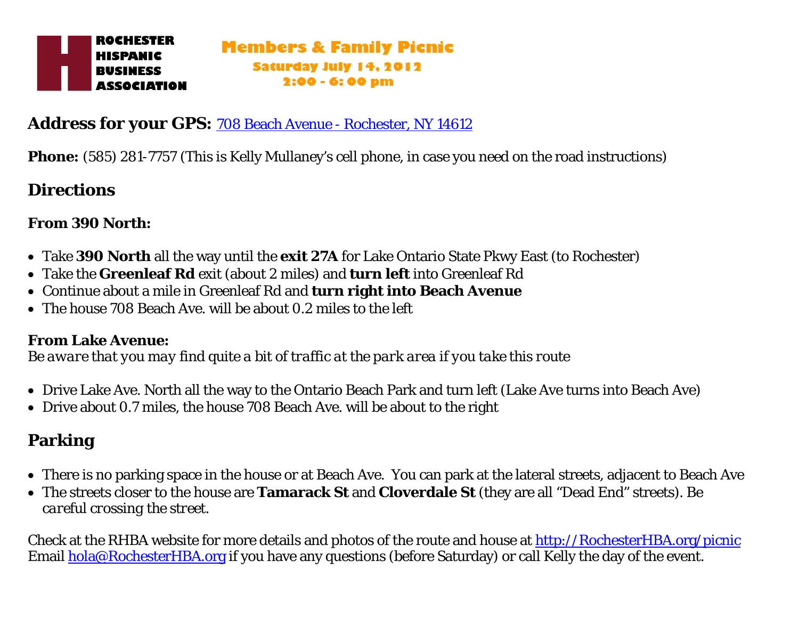### **Address for your GPS:** [708 Beach Avenue - Rochester, NY 14612](https://maps.google.com/maps?saddr=856+Eastbrooke+lane+Rochester+ny&daddr=43.2550959,-77.6261858+to:708+Beach+Avenue,+Rochester,+NY+14612&hl=en&ll=43.26505,-77.621123&spn=0.005984,0.009066&sll=43.259987,-77.612658&sspn=0.02394,0.036263&geocode=FY6vkQId90hg)

**Phone:** (585) 281-7757 (This is Kelly Mullaney's cell phone, in case you need on the road instructions)

## **Directions**

### **From 390 North:**

- Take **390 North** all the way until the **exit 27A** for Lake Ontario State Pkwy East (to Rochester)
- Take the **Greenleaf Rd** exit (about 2 miles) and **turn left** into Greenleaf Rd
- Continue about a mile in Greenleaf Rd and **turn right into Beach Avenue**
- The house 708 Beach Ave. will be about 0.2 miles to the left

#### **From Lake Avenue:**

*Be aware that you may find quite a bit of traffic at the park area if you take this route* 

- Drive Lake Ave. North all the way to the Ontario Beach Park and turn left (Lake Ave turns into Beach Ave)
- Drive about 0.7 miles, the house 708 Beach Ave. will be about to the right

# **Parking**

- There is no parking space in the house or at Beach Ave. You can park at the lateral streets, adjacent to Beach Ave
- The streets closer to the house are **Tamarack St** and **Cloverdale St** (they are all "Dead End" streets). *Be careful crossing the street.*

Check at the RHBA website for more details and photos of the route and house at [http://RochesterHBA.org/picnic](http://rochesterhba.org/picnic) Email [hola@RochesterHBA.org](mailto:hola@RochesterHBA.org) if you have any questions (before Saturday) or call Kelly the day of the event.